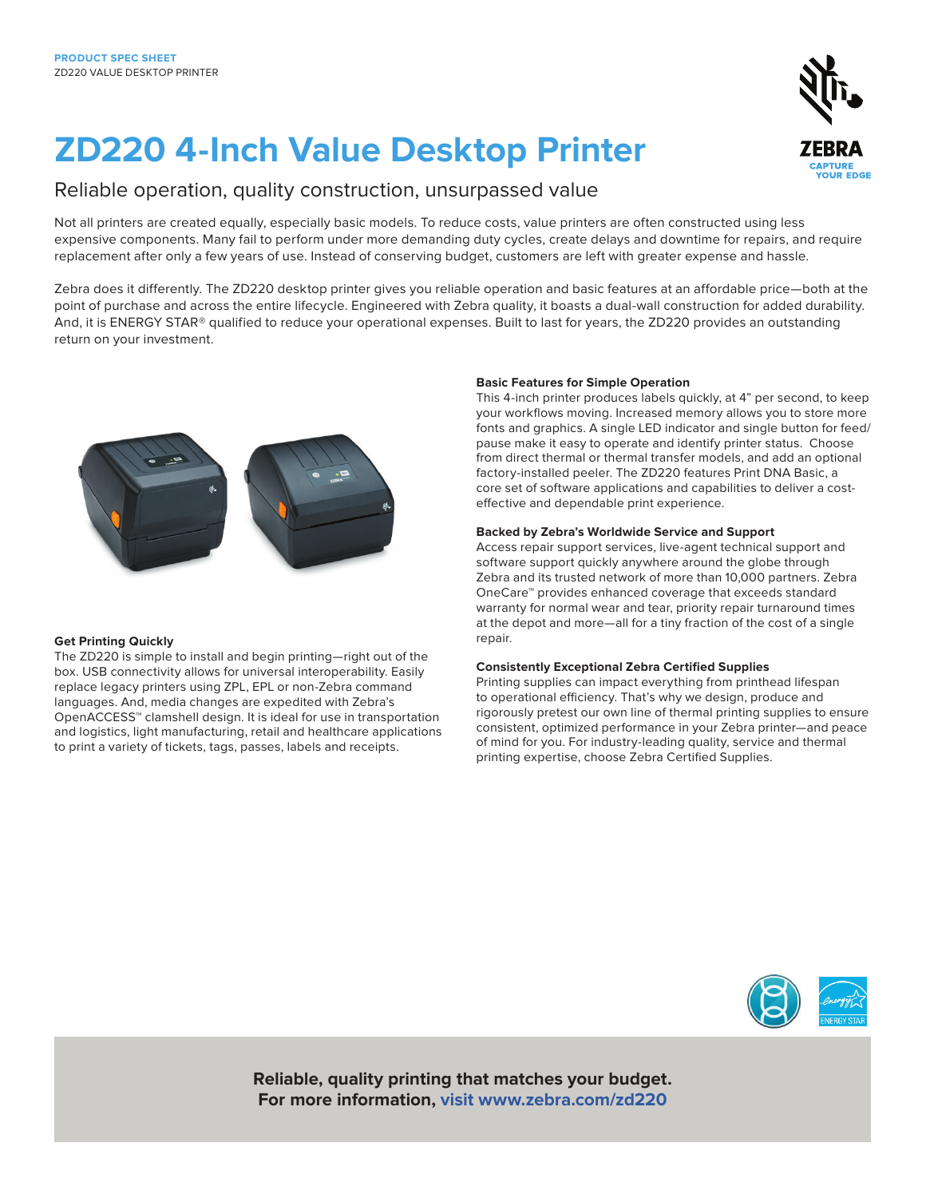# **ZD220 4-Inch Value Desktop Printer**

### Reliable operation, quality construction, unsurpassed value

Not all printers are created equally, especially basic models. To reduce costs, value printers are often constructed using less expensive components. Many fail to perform under more demanding duty cycles, create delays and downtime for repairs, and require replacement after only a few years of use. Instead of conserving budget, customers are left with greater expense and hassle.

Zebra does it differently. The ZD220 desktop printer gives you reliable operation and basic features at an affordable price—both at the point of purchase and across the entire lifecycle. Engineered with Zebra quality, it boasts a dual-wall construction for added durability. And, it is ENERGY STAR® qualified to reduce your operational expenses. Built to last for years, the ZD220 provides an outstanding return on your investment.

#### **Get Printing Quickly**

The ZD220 is simple to install and begin printing—right out of the box. USB connectivity allows for universal interoperability. Easily replace legacy printers using ZPL, EPL or non-Zebra command languages. And, media changes are expedited with Zebra's OpenACCESS™ clamshell design. It is ideal for use in transportation and logistics, light manufacturing, retail and healthcare applications to print a variety of tickets, tags, passes, labels and receipts.

#### **Basic Features for Simple Operation**

This 4-inch printer produces labels quickly, at 4" per second, to keep your workflows moving. Increased memory allows you to store more fonts and graphics. A single LED indicator and single button for feed/ pause make it easy to operate and identify printer status. Choose from direct thermal or thermal transfer models, and add an optional factory-installed peeler. The ZD220 features Print DNA Basic, a core set of software applications and capabilities to deliver a costeffective and dependable print experience.

#### **Backed by Zebra's Worldwide Service and Support**

Access repair support services, live-agent technical support and software support quickly anywhere around the globe through Zebra and its trusted network of more than 10,000 partners. Zebra OneCare™ provides enhanced coverage that exceeds standard warranty for normal wear and tear, priority repair turnaround times at the depot and more—all for a tiny fraction of the cost of a single repair.

#### **Consistently Exceptional Zebra Certified Supplies**

Printing supplies can impact everything from printhead lifespan to operational efficiency. That's why we design, produce and rigorously pretest our own line of thermal printing supplies to ensure consistent, optimized performance in your Zebra printer—and peace of mind for you. For industry-leading quality, service and thermal printing expertise, choose Zebra Certified Supplies.



**Reliable, quality printing that matches your budget. For more information, visit [www.zebra.com/zd220](https://www.zebra.com/us/en/products/printers/desktop/zd200-series.html)**

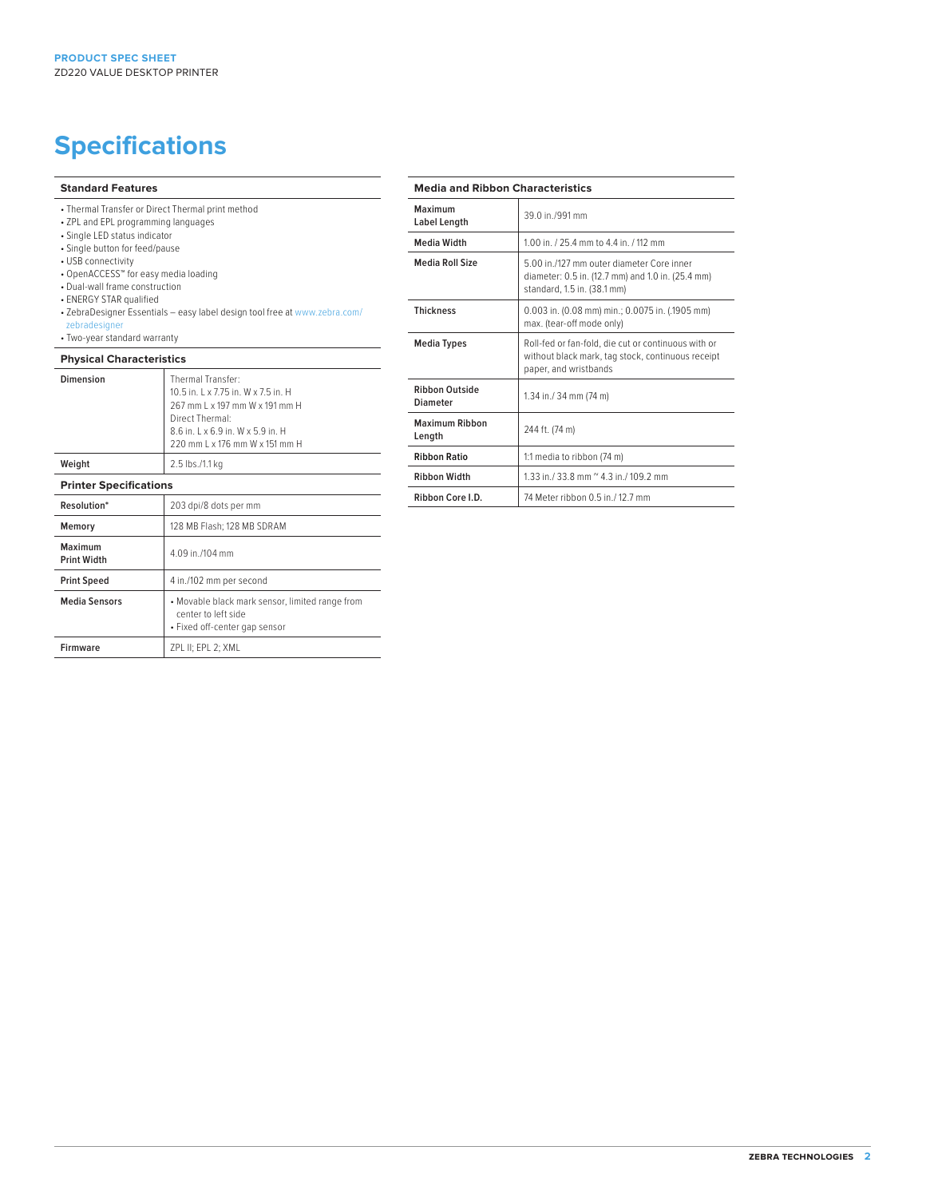## **Specifications**

#### **Standard Features**

- Thermal Transfer or Direct Thermal print method
- ZPL and EPL programming languages
- Single LED status indicator
- Single button for feed/pause
- USB connectivity
- OpenACCESS™ for easy media loading
- Dual-wall frame construction
- ENERGY STAR qualified
- ZebraDesigner Essentials easy label design tool free at www.zebra.com/ zebradesigner
- Two-year standard warranty

#### **Physical Characteristics**

| Dimension                     | Thermal Transfer:<br>10.5 in. L x 7.75 in. W x 7.5 in. H<br>267 mm L x 197 mm W x 191 mm H<br>Direct Thermal:<br>8.6 in. L x 6.9 in. W x 5.9 in. H<br>220 mm L x 176 mm W x 151 mm H |
|-------------------------------|--------------------------------------------------------------------------------------------------------------------------------------------------------------------------------------|
| Weight                        | 2.5 lbs./1.1 kg                                                                                                                                                                      |
| <b>Printer Specifications</b> |                                                                                                                                                                                      |
| Resolution*                   | 203 dpi/8 dots per mm                                                                                                                                                                |
| Memory                        | 128 MB Flash; 128 MB SDRAM                                                                                                                                                           |
| Maximum<br><b>Print Width</b> | 4.09 in /104 mm                                                                                                                                                                      |
| <b>Print Speed</b>            | 4 in./102 mm per second                                                                                                                                                              |
| <b>Media Sensors</b>          | • Movable black mark sensor, limited range from<br>center to left side<br>• Fixed off-center gap sensor                                                                              |
| <b>Firmware</b>               | ZPL II; EPL 2; XML                                                                                                                                                                   |

#### **Media and Ribbon Characteristics**

| Maximum<br>Label Length                  | 39.0 in /991 mm                                                                                                                   |
|------------------------------------------|-----------------------------------------------------------------------------------------------------------------------------------|
| <b>Media Width</b>                       | 1.00 in. / 25.4 mm to 4.4 in. / 112 mm                                                                                            |
| Media Roll Size                          | 5.00 in /127 mm outer diameter Core inner<br>diameter: 0.5 in. (12.7 mm) and 1.0 in. (25.4 mm)<br>standard, 1.5 in. (38.1 mm)     |
| <b>Thickness</b>                         | 0.003 in. (0.08 mm) min.; 0.0075 in. (.1905 mm)<br>max. (tear-off mode only)                                                      |
| <b>Media Types</b>                       | Roll-fed or fan-fold, die cut or continuous with or<br>without black mark, tag stock, continuous receipt<br>paper, and wristbands |
| <b>Ribbon Outside</b><br><b>Diameter</b> | 1.34 in./ 34 mm (74 m)                                                                                                            |
| Maximum Ribbon<br>Length                 | 244 ft. (74 m)                                                                                                                    |
| <b>Ribbon Ratio</b>                      | 1:1 media to ribbon (74 m)                                                                                                        |
| <b>Ribbon Width</b>                      | 1.33 in $/$ 33.8 mm $\degree$ 4.3 in $/$ 109.2 mm                                                                                 |
| Ribbon Core I.D.                         | 74 Meter ribbon 0.5 in / 12.7 mm                                                                                                  |